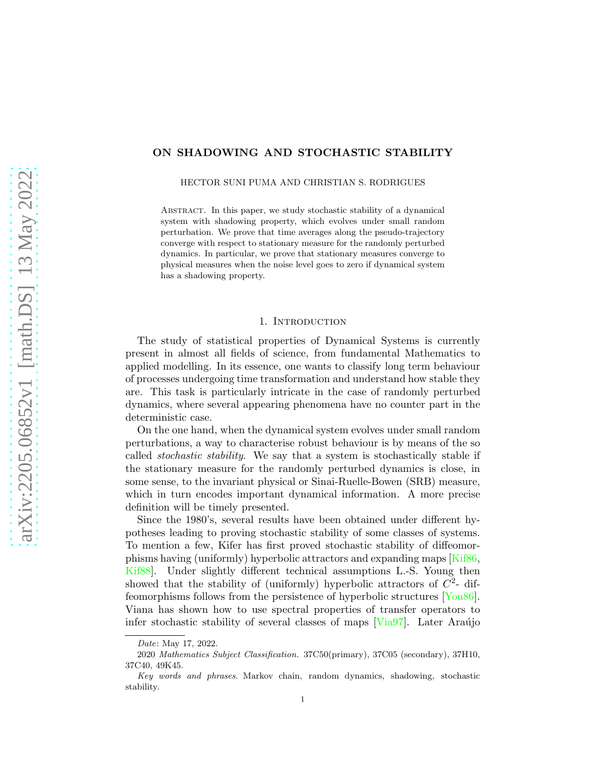# ON SHADOWING AND STOCHASTIC STABILITY

HECTOR SUNI PUMA AND CHRISTIAN S. RODRIGUES

Abstract. In this paper, we study stochastic stability of a dynamical system with shadowing property, which evolves under small random perturbation. We prove that time averages along the pseudo-trajectory converge with respect to stationary measure for the randomly perturbed dynamics. In particular, we prove that stationary measures converge to physical measures when the noise level goes to zero if dynamical system has a shadowing property.

#### 1. INTRODUCTION

The study of statistical properties of Dynamical Systems is currently present in almost all fields of science, from fundamental Mathematics to applied modelling. In its essence, one wants to classify long term behaviour of processes undergoing time transformation and understand how stable they are. This task is particularly intricate in the case of randomly perturbed dynamics, where several appearing phenomena have no counter part in the deterministic case.

On the one hand, when the dynamical system evolves under small random perturbations, a way to characterise robust behaviour is by means of the so called stochastic stability. We say that a system is stochastically stable if the stationary measure for the randomly perturbed dynamics is close, in some sense, to the invariant physical or Sinai-Ruelle-Bowen (SRB) measure, which in turn encodes important dynamical information. A more precise definition will be timely presented.

Since the 1980's, several results have been obtained under different hypotheses leading to proving stochastic stability of some classes of systems. To mention a few, Kifer has first proved stochastic stability of diffeomorphisms having (uniformly) hyperbolic attractors and expanding maps [\[Kif86,](#page-8-0) [Kif88\]](#page-8-1). Under slightly different technical assumptions L.-S. Young then showed that the stability of (uniformly) hyperbolic attractors of  $C<sup>2</sup>$ - diffeomorphisms follows from the persistence of hyperbolic structures [\[You86\]](#page-9-0). Viana has shown how to use spectral properties of transfer operators to infer stochastic stability of several classes of maps  $[Via97]$ . Later Araújo

Date: May 17, 2022.

<sup>2020</sup> Mathematics Subject Classification. 37C50(primary), 37C05 (secondary), 37H10, 37C40, 49K45.

Key words and phrases. Markov chain, random dynamics, shadowing, stochastic stability.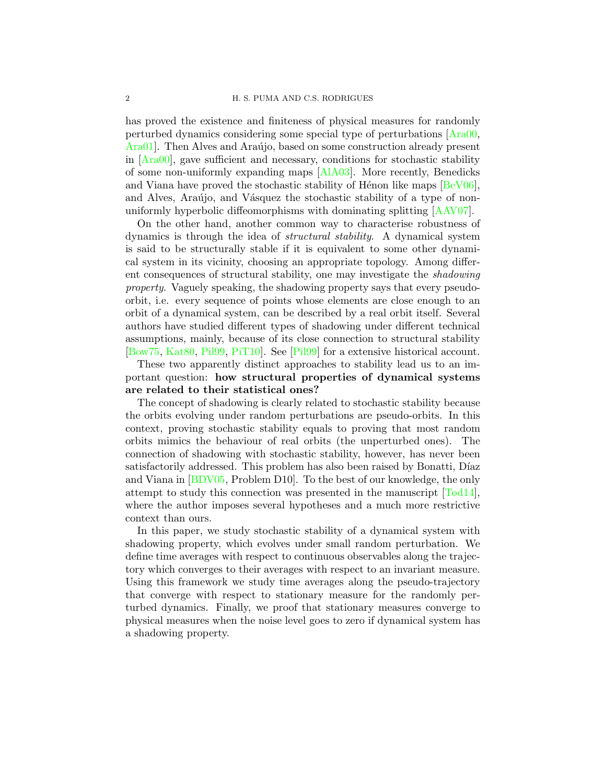has proved the existence and finiteness of physical measures for randomly perturbed dynamics considering some special type of perturbations [\[Ara00,](#page-8-2) Ara01. Then Alves and Araújo, based on some construction already present in  $[Area00]$ , gave sufficient and necessary, conditions for stochastic stability of some non-uniformly expanding maps [\[AlA03\]](#page-8-4). More recently, Benedicks and Viana have proved the stochastic stability of Hénon like maps  $[BeV06]$ , and Alves, Araújo, and Vásquez the stochastic stability of a type of nonuniformly hyperbolic diffeomorphisms with dominating splitting [\[AAV07\]](#page-8-6).

On the other hand, another common way to characterise robustness of dynamics is through the idea of structural stability. A dynamical system is said to be structurally stable if it is equivalent to some other dynamical system in its vicinity, choosing an appropriate topology. Among different consequences of structural stability, one may investigate the shadowing property. Vaguely speaking, the shadowing property says that every pseudoorbit, i.e. every sequence of points whose elements are close enough to an orbit of a dynamical system, can be described by a real orbit itself. Several authors have studied different types of shadowing under different technical assumptions, mainly, because of its close connection to structural stability [\[Bow75,](#page-8-7) [Kat80,](#page-8-8) [Pil99,](#page-9-2) [PiT10\]](#page-9-3). See [\[Pil99\]](#page-9-2) for a extensive historical account.

These two apparently distinct approaches to stability lead us to an important question: how structural properties of dynamical systems are related to their statistical ones?

The concept of shadowing is clearly related to stochastic stability because the orbits evolving under random perturbations are pseudo-orbits. In this context, proving stochastic stability equals to proving that most random orbits mimics the behaviour of real orbits (the unperturbed ones). The connection of shadowing with stochastic stability, however, has never been satisfactorily addressed. This problem has also been raised by Bonatti, Díaz and Viana in [\[BDV05,](#page-8-9) Problem D10]. To the best of our knowledge, the only attempt to study this connection was presented in the manuscript [\[Tod14\]](#page-9-4), where the author imposes several hypotheses and a much more restrictive context than ours.

In this paper, we study stochastic stability of a dynamical system with shadowing property, which evolves under small random perturbation. We define time averages with respect to continuous observables along the trajectory which converges to their averages with respect to an invariant measure. Using this framework we study time averages along the pseudo-trajectory that converge with respect to stationary measure for the randomly perturbed dynamics. Finally, we proof that stationary measures converge to physical measures when the noise level goes to zero if dynamical system has a shadowing property.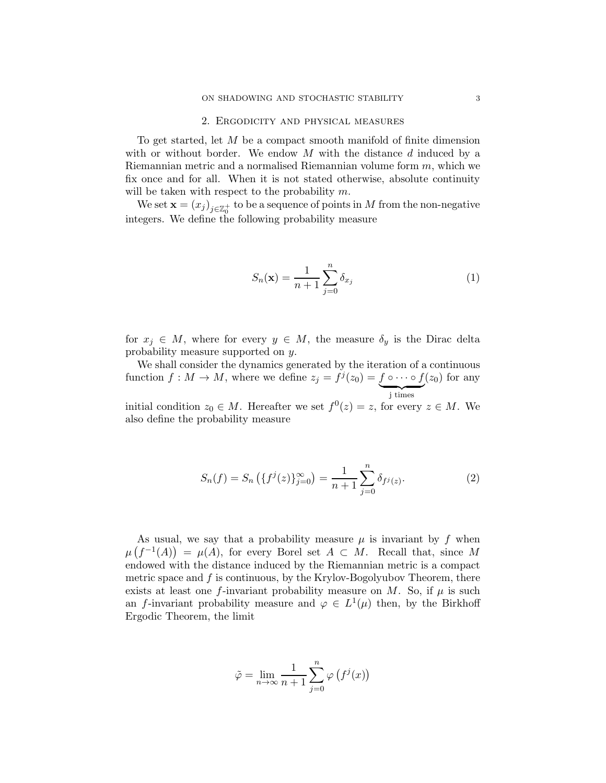#### 2. Ergodicity and physical measures

<span id="page-2-1"></span>To get started, let  $M$  be a compact smooth manifold of finite dimension with or without border. We endow  $M$  with the distance  $d$  induced by a Riemannian metric and a normalised Riemannian volume form  $m$ , which we fix once and for all. When it is not stated otherwise, absolute continuity will be taken with respect to the probability  $m$ .

We set  $\mathbf{x} = (x_j)_{j \in \mathbb{Z}_0^+}$  to be a sequence of points in  $M$  from the non-negative integers. We define the following probability measure

<span id="page-2-2"></span>
$$
S_n(\mathbf{x}) = \frac{1}{n+1} \sum_{j=0}^n \delta_{x_j} \tag{1}
$$

for  $x_j \in M$ , where for every  $y \in M$ , the measure  $\delta_y$  is the Dirac delta probability measure supported on y.

We shall consider the dynamics generated by the iteration of a continuous function  $f: M \to M$ , where we define  $z_j = f^j(z_0) = f \circ \cdots \circ f$  $\overline{\smash{\big)}\text{ times}}$  $(z_0)$  for any

initial condition  $z_0 \in M$ . Hereafter we set  $f^0(z) = z$ , for every  $z \in M$ . We also define the probability measure

<span id="page-2-0"></span>
$$
S_n(f) = S_n\left(\{f^j(z)\}_{j=0}^\infty\right) = \frac{1}{n+1} \sum_{j=0}^n \delta_{f^j(z)}.
$$
 (2)

As usual, we say that a probability measure  $\mu$  is invariant by f when  $\mu(f^{-1}(A)) = \mu(A)$ , for every Borel set  $A \subset M$ . Recall that, since M endowed with the distance induced by the Riemannian metric is a compact metric space and f is continuous, by the Krylov-Bogolyubov Theorem, there exists at least one f-invariant probability measure on M. So, if  $\mu$  is such an f-invariant probability measure and  $\varphi \in L^1(\mu)$  then, by the Birkhoff Ergodic Theorem, the limit

$$
\tilde{\varphi} = \lim_{n \to \infty} \frac{1}{n+1} \sum_{j=0}^{n} \varphi(f^{j}(x))
$$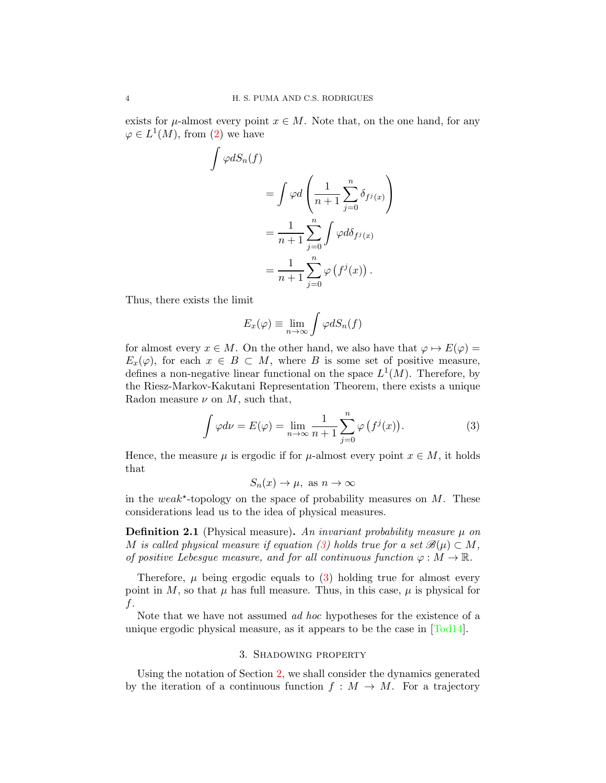exists for  $\mu$ -almost every point  $x \in M$ . Note that, on the one hand, for any  $\varphi \in L^1(M)$ , from [\(2\)](#page-2-0) we have

$$
\varphi dS_n(f)
$$
  
= 
$$
\int \varphi d\left(\frac{1}{n+1} \sum_{j=0}^n \delta_{f^j(x)}\right)
$$
  
= 
$$
\frac{1}{n+1} \sum_{j=0}^n \int \varphi d\delta_{f^j(x)}
$$
  
= 
$$
\frac{1}{n+1} \sum_{j=0}^n \varphi(f^j(x)).
$$

Thus, there exists the limit

Z

$$
E_x(\varphi) \equiv \lim_{n \to \infty} \int \varphi dS_n(f)
$$

for almost every  $x \in M$ . On the other hand, we also have that  $\varphi \mapsto E(\varphi) =$  $E_x(\varphi)$ , for each  $x \in B \subset M$ , where B is some set of positive measure, defines a non-negative linear functional on the space  $L^1(M)$ . Therefore, by the Riesz-Markov-Kakutani Representation Theorem, there exists a unique Radon measure  $\nu$  on  $M$ , such that,

<span id="page-3-0"></span>
$$
\int \varphi d\nu = E(\varphi) = \lim_{n \to \infty} \frac{1}{n+1} \sum_{j=0}^{n} \varphi(f^{j}(x)).
$$
\n(3)

Hence, the measure  $\mu$  is ergodic if for  $\mu$ -almost every point  $x \in M$ , it holds that

$$
S_n(x) \to \mu
$$
, as  $n \to \infty$ 

in the weak<sup>\*</sup>-topology on the space of probability measures on  $M$ . These considerations lead us to the idea of physical measures.

**Definition 2.1** (Physical measure). An invariant probability measure  $\mu$  on M is called physical measure if equation [\(3\)](#page-3-0) holds true for a set  $\mathscr{B}(\mu) \subset M$ , of positive Lebesgue measure, and for all continuous function  $\varphi : M \to \mathbb{R}$ .

Therefore,  $\mu$  being ergodic equals to [\(3\)](#page-3-0) holding true for almost every point in M, so that  $\mu$  has full measure. Thus, in this case,  $\mu$  is physical for f.

Note that we have not assumed ad hoc hypotheses for the existence of a unique ergodic physical measure, as it appears to be the case in [\[Tod14\]](#page-9-4).

### 3. Shadowing property

Using the notation of Section [2,](#page-2-1) we shall consider the dynamics generated by the iteration of a continuous function  $f : M \to M$ . For a trajectory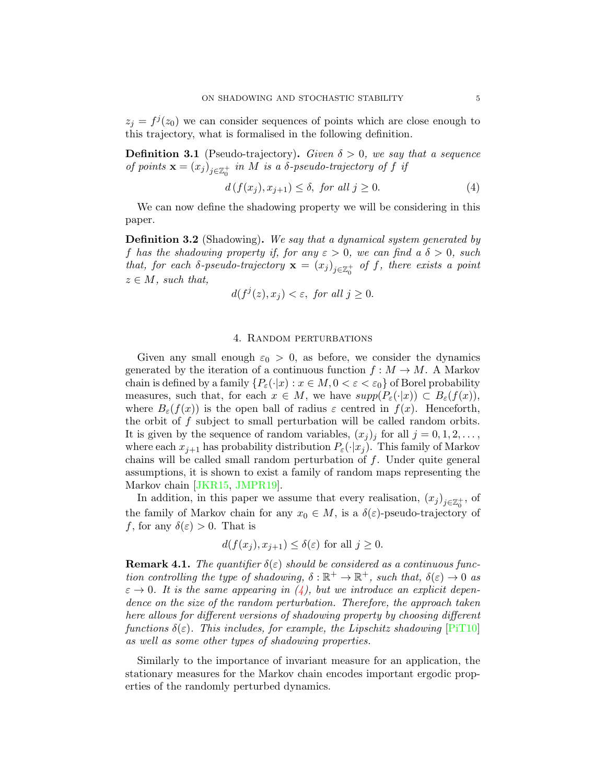$z_j = f^j(z_0)$  we can consider sequences of points which are close enough to this trajectory, what is formalised in the following definition.

**Definition 3.1** (Pseudo-trajectory). Given  $\delta > 0$ , we say that a sequence of points  $\mathbf{x} = (x_j)_{j \in \mathbb{Z}_0^+}$  in M is a  $\delta$ -pseudo-trajectory of f if

<span id="page-4-0"></span>
$$
d(f(x_j), x_{j+1}) \le \delta, \text{ for all } j \ge 0. \tag{4}
$$

We can now define the shadowing property we will be considering in this paper.

**Definition 3.2** (Shadowing). We say that a dynamical system generated by f has the shadowing property if, for any  $\varepsilon > 0$ , we can find a  $\delta > 0$ , such that, for each  $\delta$ -pseudo-trajectory  $\mathbf{x} = (x_j)_{j \in \mathbb{Z}_0^+}$  of f, there exists a point  $z \in M$ , such that,

$$
d(f^j(z), x_j) < \varepsilon, \text{ for all } j \ge 0.
$$

#### 4. Random perturbations

Given any small enough  $\varepsilon_0 > 0$ , as before, we consider the dynamics generated by the iteration of a continuous function  $f : M \to M$ . A Markov chain is defined by a family  $\{P_{\varepsilon}(\cdot|x): x \in M, 0 < \varepsilon < \varepsilon_0\}$  of Borel probability measures, such that, for each  $x \in M$ , we have  $supp(P_{\varepsilon}(\cdot|x)) \subset B_{\varepsilon}(f(x)),$ where  $B_{\varepsilon}(f(x))$  is the open ball of radius  $\varepsilon$  centred in  $f(x)$ . Henceforth, the orbit of f subject to small perturbation will be called random orbits. It is given by the sequence of random variables,  $(x_j)_j$  for all  $j = 0, 1, 2, \ldots$ , where each  $x_{i+1}$  has probability distribution  $P_{\varepsilon}(\cdot|x_i)$ . This family of Markov chains will be called small random perturbation of f. Under quite general assumptions, it is shown to exist a family of random maps representing the Markov chain [\[JKR15,](#page-8-10) [JMPR19\]](#page-8-11).

In addition, in this paper we assume that every realisation,  $(x_j)_{j\in\mathbb{Z}_0^+}$ , of the family of Markov chain for any  $x_0 \in M$ , is a  $\delta(\varepsilon)$ -pseudo-trajectory of f, for any  $\delta(\varepsilon) > 0$ . That is

$$
d(f(x_j), x_{j+1}) \le \delta(\varepsilon)
$$
 for all  $j \ge 0$ .

**Remark 4.1.** The quantifier  $\delta(\varepsilon)$  should be considered as a continuous function controlling the type of shadowing,  $\delta : \mathbb{R}^+ \to \mathbb{R}^+$ , such that,  $\delta(\varepsilon) \to 0$  as  $\varepsilon \to 0$ . It is the same appearing in [\(4\)](#page-4-0), but we introduce an explicit dependence on the size of the random perturbation. Therefore, the approach taken here allows for different versions of shadowing property by choosing different functions  $\delta(\varepsilon)$ . This includes, for example, the Lipschitz shadowing [\[PiT10\]](#page-9-3) as well as some other types of shadowing properties.

Similarly to the importance of invariant measure for an application, the stationary measures for the Markov chain encodes important ergodic properties of the randomly perturbed dynamics.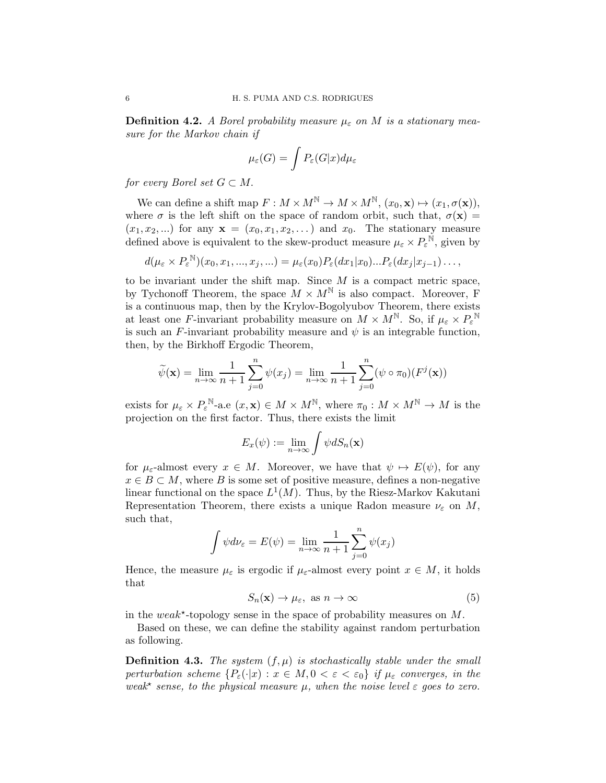**Definition 4.2.** A Borel probability measure  $\mu_{\varepsilon}$  on M is a stationary measure for the Markov chain if

$$
\mu_{\varepsilon}(G) = \int P_{\varepsilon}(G|x) d\mu_{\varepsilon}
$$

for every Borel set  $G \subset M$ .

We can define a shift map  $F: M \times M^{\mathbb{N}} \to M \times M^{\mathbb{N}}, (x_0, \mathbf{x}) \mapsto (x_1, \sigma(\mathbf{x})),$ where  $\sigma$  is the left shift on the space of random orbit, such that,  $\sigma(\mathbf{x}) =$  $(x_1, x_2, \ldots)$  for any  $\mathbf{x} = (x_0, x_1, x_2, \ldots)$  and  $x_0$ . The stationary measure defined above is equivalent to the skew-product measure  $\mu_{\varepsilon} \times P_{\varepsilon}^{\mathbb{N}}$ , given by

$$
d(\mu_{\varepsilon} \times P_{\varepsilon}^{\mathbb{N}})(x_0, x_1, ..., x_j, ...) = \mu_{\varepsilon}(x_0) P_{\varepsilon}(dx_1|x_0) ... P_{\varepsilon}(dx_j|x_{j-1}) ... ,
$$

to be invariant under the shift map. Since  $M$  is a compact metric space, by Tychonoff Theorem, the space  $M \times M^{\mathbb{N}}$  is also compact. Moreover, F is a continuous map, then by the Krylov-Bogolyubov Theorem, there exists at least one F-invariant probability measure on  $M \times M^{\mathbb{N}}$ . So, if  $\mu_{\varepsilon} \times P_{\varepsilon}^{\mathbb{N}}$ is such an F-invariant probability measure and  $\psi$  is an integrable function, then, by the Birkhoff Ergodic Theorem,

$$
\widetilde{\psi}(\mathbf{x}) = \lim_{n \to \infty} \frac{1}{n+1} \sum_{j=0}^{n} \psi(x_j) = \lim_{n \to \infty} \frac{1}{n+1} \sum_{j=0}^{n} (\psi \circ \pi_0)(F^j(\mathbf{x}))
$$

exists for  $\mu_{\varepsilon} \times P_{\varepsilon}^{\mathbb{N}}$ -a.e  $(x, \mathbf{x}) \in M \times M^{\mathbb{N}}$ , where  $\pi_0 : M \times M^{\mathbb{N}} \to M$  is the projection on the first factor. Thus, there exists the limit

$$
E_x(\psi) := \lim_{n \to \infty} \int \psi dS_n(\mathbf{x})
$$

for  $\mu_{\varepsilon}$ -almost every  $x \in M$ . Moreover, we have that  $\psi \mapsto E(\psi)$ , for any  $x \in B \subset M$ , where B is some set of positive measure, defines a non-negative linear functional on the space  $L^1(M)$ . Thus, by the Riesz-Markov Kakutani Representation Theorem, there exists a unique Radon measure  $\nu_{\varepsilon}$  on M, such that,

$$
\int \psi d\nu_{\varepsilon} = E(\psi) = \lim_{n \to \infty} \frac{1}{n+1} \sum_{j=0}^{n} \psi(x_j)
$$

Hence, the measure  $\mu_{\varepsilon}$  is ergodic if  $\mu_{\varepsilon}$ -almost every point  $x \in M$ , it holds that

<span id="page-5-0"></span>
$$
S_n(\mathbf{x}) \to \mu_{\varepsilon}, \text{ as } n \to \infty \tag{5}
$$

in the weak<sup>\*</sup>-topology sense in the space of probability measures on  $M$ .

Based on these, we can define the stability against random perturbation as following.

**Definition 4.3.** The system  $(f, \mu)$  is stochastically stable under the small perturbation scheme  $\{P_{\varepsilon}(\cdot|x): x \in M, 0 < \varepsilon < \varepsilon_0\}$  if  $\mu_{\varepsilon}$  converges, in the weak\* sense, to the physical measure  $\mu$ , when the noise level  $\varepsilon$  goes to zero.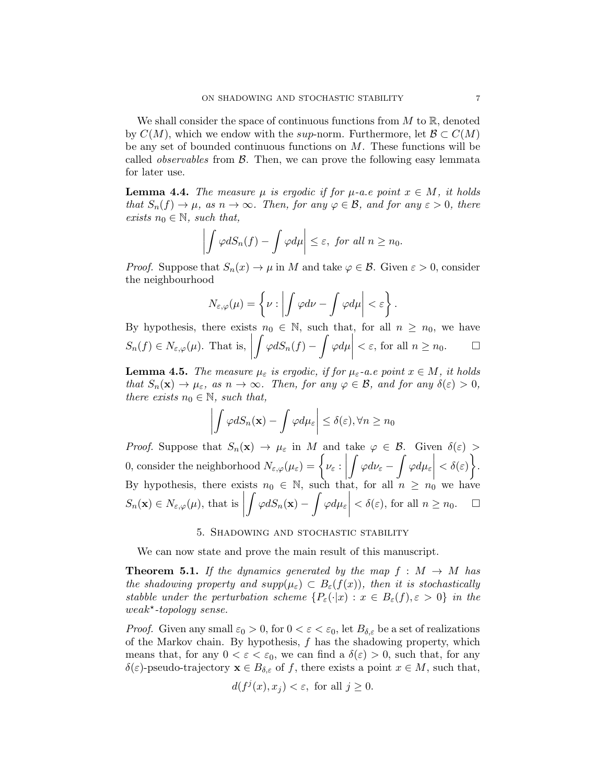We shall consider the space of continuous functions from  $M$  to  $\mathbb{R}$ , denoted by  $C(M)$ , which we endow with the sup-norm. Furthermore, let  $\mathcal{B} \subset C(M)$ be any set of bounded continuous functions on  $M$ . These functions will be called *observables* from  $\beta$ . Then, we can prove the following easy lemmata for later use.

<span id="page-6-0"></span>**Lemma 4.4.** The measure  $\mu$  is ergodic if for  $\mu$ -a.e point  $x \in M$ , it holds that  $S_n(f) \to \mu$ , as  $n \to \infty$ . Then, for any  $\varphi \in \mathcal{B}$ , and for any  $\varepsilon > 0$ , there exists  $n_0 \in \mathbb{N}$ , such that,

$$
\left| \int \varphi dS_n(f) - \int \varphi d\mu \right| \leq \varepsilon, \text{ for all } n \geq n_0.
$$

*Proof.* Suppose that  $S_n(x) \to \mu$  in M and take  $\varphi \in \mathcal{B}$ . Given  $\varepsilon > 0$ , consider the neighbourhood

$$
N_{\varepsilon,\varphi}(\mu) = \left\{ \nu : \left| \int \varphi d\nu - \int \varphi d\mu \right| < \varepsilon \right\}.
$$

By hypothesis, there exists  $n_0 \in \mathbb{N}$ , such that, for all  $n \geq n_0$ , we have  $S_n(f) \in N_{\varepsilon,\varphi}(\mu)$ . That is, Z  $\varphi dS_n(f)$   $-$ Z  $\varphi d\mu$   $< \varepsilon$ , for all  $n \geq n_0$ .  $\Box$ 

<span id="page-6-1"></span>**Lemma 4.5.** The measure  $\mu_{\varepsilon}$  is ergodic, if for  $\mu_{\varepsilon}$ -a.e point  $x \in M$ , it holds that  $S_n(\mathbf{x}) \to \mu_{\varepsilon}$ , as  $n \to \infty$ . Then, for any  $\varphi \in \mathcal{B}$ , and for any  $\delta(\varepsilon) > 0$ , there exists  $n_0 \in \mathbb{N}$ , such that,

$$
\left| \int \varphi dS_n(\mathbf{x}) - \int \varphi d\mu_{\varepsilon} \right| \leq \delta(\varepsilon), \forall n \geq n_0
$$

*Proof.* Suppose that  $S_n(\mathbf{x}) \to \mu_{\varepsilon}$  in M and take  $\varphi \in \mathcal{B}$ . Given  $\delta(\varepsilon) >$ 0, consider the neighborhood  $N_{\varepsilon,\varphi}(\mu_{\varepsilon}) = \begin{cases} \nu_{\varepsilon} : \end{cases}$  Z  $\varphi d\nu_\varepsilon$   $-$ Z  $\varphi d\mu_\varepsilon$   $<\delta(\varepsilon)$  $\mathcal{L}$ . By hypothesis, there exists  $n_0 \in \mathbb{N}$ , such that, for all  $n \geq n_0$  we have  $S_n(\mathbf{x}) \in N_{\varepsilon,\varphi}(\mu)$ , that is  $\varphi dS_n({\bf x})-$ Z  $\varphi d\mu_\varepsilon$   $<\delta(\varepsilon)$ , for all  $n \geq n_0$ .  $\Box$ 

## 5. Shadowing and stochastic stability

We can now state and prove the main result of this manuscript.

<span id="page-6-2"></span>**Theorem 5.1.** If the dynamics generated by the map  $f : M \to M$  has the shadowing property and  $supp(\mu_{\varepsilon}) \subset B_{\varepsilon}(f(x))$ , then it is stochastically stabble under the perturbation scheme  $\{P_{\varepsilon}(\cdot|x): x \in B_{\varepsilon}(f), \varepsilon > 0\}$  in the  $weak^{\star}$ -topology sense.

*Proof.* Given any small  $\varepsilon_0 > 0$ , for  $0 < \varepsilon < \varepsilon_0$ , let  $B_{\delta,\varepsilon}$  be a set of realizations of the Markov chain. By hypothesis,  $f$  has the shadowing property, which means that, for any  $0 < \varepsilon < \varepsilon_0$ , we can find a  $\delta(\varepsilon) > 0$ , such that, for any  $\delta(\varepsilon)$ -pseudo-trajectory  $\mathbf{x} \in B_{\delta,\varepsilon}$  of f, there exists a point  $x \in M$ , such that,

$$
d(f^j(x), x_j) < \varepsilon, \text{ for all } j \ge 0.
$$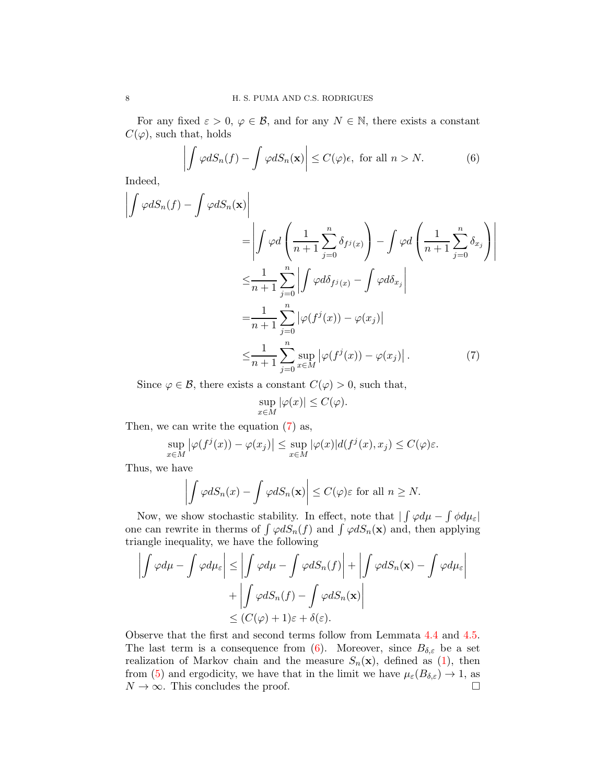For any fixed  $\varepsilon > 0$ ,  $\varphi \in \mathcal{B}$ , and for any  $N \in \mathbb{N}$ , there exists a constant  $C(\varphi)$ , such that, holds

<span id="page-7-1"></span>
$$
\left| \int \varphi dS_n(f) - \int \varphi dS_n(\mathbf{x}) \right| \le C(\varphi)\epsilon, \text{ for all } n > N. \tag{6}
$$

<span id="page-7-0"></span> $\overline{\phantom{a}}$  $\mathsf{I}$  $\overline{\phantom{a}}$  $\mathsf{I}$  $\overline{\phantom{a}}$  $\overline{\phantom{a}}$ 

Indeed,

$$
\left| \int \varphi dS_n(f) - \int \varphi dS_n(\mathbf{x}) \right|
$$
  
\n
$$
= \left| \int \varphi d\left( \frac{1}{n+1} \sum_{j=0}^n \delta_{f^j(x)} \right) - \int \varphi d\left( \frac{1}{n+1} \sum_{j=0}^n \delta_{x_j} \right) \right|
$$
  
\n
$$
\leq \frac{1}{n+1} \sum_{j=0}^n \left| \int \varphi d\delta_{f^j(x)} - \int \varphi d\delta_{x_j} \right|
$$
  
\n
$$
= \frac{1}{n+1} \sum_{j=0}^n \left| \varphi(f^j(x)) - \varphi(x_j) \right|
$$
  
\n
$$
\leq \frac{1}{n+1} \sum_{j=0}^n \sup_{x \in M} \left| \varphi(f^j(x)) - \varphi(x_j) \right|.
$$
 (7)

Since  $\varphi \in \mathcal{B}$ , there exists a constant  $C(\varphi) > 0$ , such that,

$$
\sup_{x \in M} |\varphi(x)| \le C(\varphi).
$$

Then, we can write the equation [\(7\)](#page-7-0) as,

$$
\sup_{x \in M} |\varphi(f^j(x)) - \varphi(x_j)| \leq \sup_{x \in M} |\varphi(x)| d(f^j(x), x_j) \leq C(\varphi)\varepsilon.
$$

Thus, we have

$$
\left| \int \varphi dS_n(x) - \int \varphi dS_n(\mathbf{x}) \right| \le C(\varphi) \varepsilon \text{ for all } n \ge N.
$$

Now, we show stochastic stability. In effect, note that  $\int \varphi d\mu - \int \phi d\mu_{\varepsilon}$ one can rewrite in therms of  $\int \varphi dS_n(f)$  and  $\int \varphi dS_n(\mathbf{x})$  and, then applying triangle inequality, we have the following

$$
\left| \int \varphi d\mu - \int \varphi d\mu_{\varepsilon} \right| \leq \left| \int \varphi d\mu - \int \varphi dS_n(f) \right| + \left| \int \varphi dS_n(\mathbf{x}) - \int \varphi d\mu_{\varepsilon} \right|
$$

$$
+ \left| \int \varphi dS_n(f) - \int \varphi dS_n(\mathbf{x}) \right|
$$

$$
\leq (C(\varphi) + 1)\varepsilon + \delta(\varepsilon).
$$

Observe that the first and second terms follow from Lemmata [4.4](#page-6-0) and [4.5.](#page-6-1) The last term is a consequence from [\(6\)](#page-7-1). Moreover, since  $B_{\delta,\varepsilon}$  be a set realization of Markov chain and the measure  $S_n(\mathbf{x})$ , defined as [\(1\)](#page-2-2), then from [\(5\)](#page-5-0) and ergodicity, we have that in the limit we have  $\mu_{\varepsilon}(B_{\delta,\varepsilon}) \to 1$ , as  $N \to \infty$ . This concludes the proof.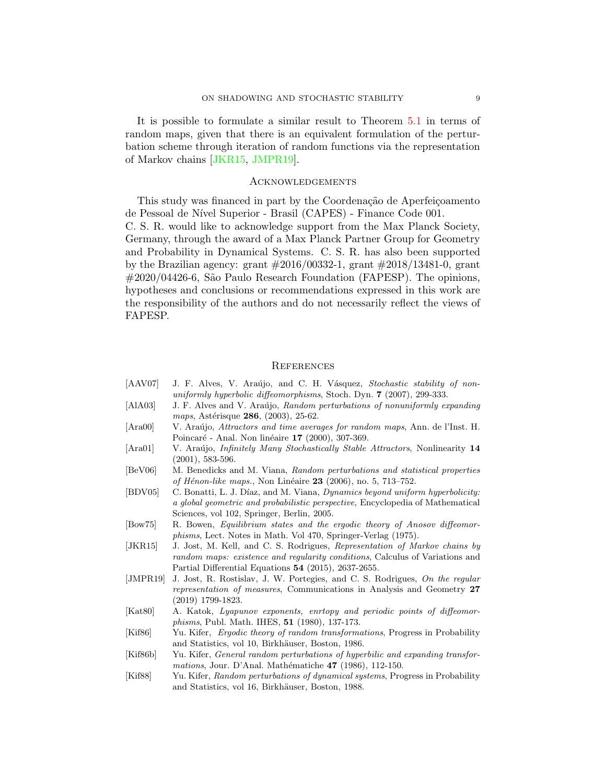It is possible to formulate a similar result to Theorem [5.1](#page-6-2) in terms of random maps, given that there is an equivalent formulation of the perturbation scheme through iteration of random functions via the representation of Markov chains [\[JKR15,](#page-8-10) [JMPR19\]](#page-8-11).

#### **ACKNOWLEDGEMENTS**

This study was financed in part by the Coordenação de Aperfeiçoamento de Pessoal de N´ıvel Superior - Brasil (CAPES) - Finance Code 001.

C. S. R. would like to acknowledge support from the Max Planck Society, Germany, through the award of a Max Planck Partner Group for Geometry and Probability in Dynamical Systems. C. S. R. has also been supported by the Brazilian agency: grant #2016/00332-1, grant #2018/13481-0, grant #2020/04426-6, São Paulo Research Foundation (FAPESP). The opinions, hypotheses and conclusions or recommendations expressed in this work are the responsibility of the authors and do not necessarily reflect the views of FAPESP.

#### **REFERENCES**

- <span id="page-8-6"></span>[AAV07] J. F. Alves, V. Araújo, and C. H. Vásquez, Stochastic stability of nonuniformly hyperbolic diffeomorphisms, Stoch. Dyn. 7 (2007), 299-333.
- <span id="page-8-4"></span>[AlA03] J. F. Alves and V. Araújo, Random perturbations of nonuniformly expanding maps, Astérisque 286, (2003), 25-62.
- <span id="page-8-2"></span>[Ara00] V. Araújo, Attractors and time averages for random maps, Ann. de l'Inst. H. Poincaré - Anal. Non linéaire 17 (2000), 307-369.
- <span id="page-8-3"></span>[Ara01] V. Araújo, *Infinitely Many Stochastically Stable Attractors*, Nonlinearity 14 (2001), 583-596.
- <span id="page-8-5"></span>[BeV06] M. Benedicks and M. Viana, Random perturbations and statistical properties of Hénon-like maps., Non Linéaire  $23$  (2006), no. 5, 713–752.
- <span id="page-8-9"></span>[BDV05] C. Bonatti, L. J. Díaz, and M. Viana, *Dynamics beyond uniform hyperbolicity:* a global geometric and probabilistic perspective, Encyclopedia of Mathematical Sciences, vol 102, Springer, Berlin, 2005.
- <span id="page-8-7"></span>[Bow75] R. Bowen, Equilibrium states and the ergodic theory of Anosov diffeomorphisms, Lect. Notes in Math. Vol 470, Springer-Verlag (1975).
- <span id="page-8-10"></span>[JKR15] J. Jost, M. Kell, and C. S. Rodrigues, Representation of Markov chains by random maps: existence and regularity conditions, Calculus of Variations and Partial Differential Equations 54 (2015), 2637-2655.
- <span id="page-8-11"></span>[JMPR19] J. Jost, R. Rostislav, J. W. Portegies, and C. S. Rodrigues, On the regular representation of measures, Communications in Analysis and Geometry 27 (2019) 1799-1823.
- <span id="page-8-8"></span>[Kat80] A. Katok, Lyapunov exponents, enrtopy and periodic points of diffeomorphisms, Publ. Math. IHES, 51 (1980), 137-173.
- <span id="page-8-0"></span>[Kif86] Yu. Kifer, Ergodic theory of random transformations, Progress in Probability and Statistics, vol 10, Birkhäuser, Boston, 1986.
- [Kif86b] Yu. Kifer, General random perturbations of hyperbilic and expanding transformations, Jour. D'Anal. Mathématiche 47 (1986), 112-150.
- <span id="page-8-1"></span>[Kif88] Yu. Kifer, Random perturbations of dynamical systems, Progress in Probability and Statistics, vol 16, Birkhäuser, Boston, 1988.